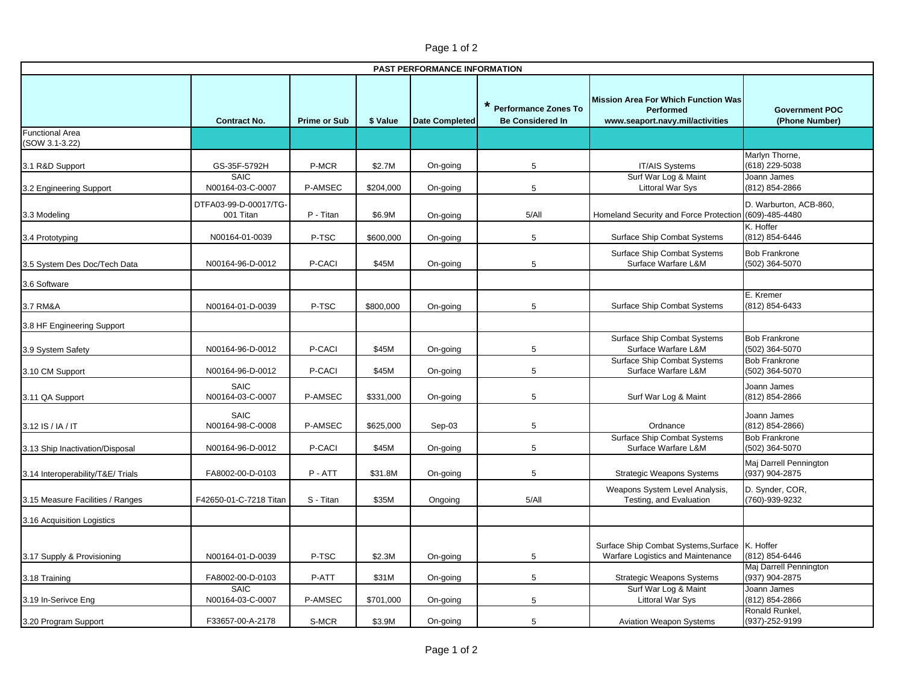| Page 1 of 2 |  |  |  |
|-------------|--|--|--|
|-------------|--|--|--|

| PAST PERFORMANCE INFORMATION      |                                    |                     |           |                       |                                                   |                                                                                            |                                          |  |
|-----------------------------------|------------------------------------|---------------------|-----------|-----------------------|---------------------------------------------------|--------------------------------------------------------------------------------------------|------------------------------------------|--|
|                                   | <b>Contract No.</b>                | <b>Prime or Sub</b> | \$ Value  | <b>Date Completed</b> | * Performance Zones To<br><b>Be Considered In</b> | <b>Mission Area For Which Function Was</b><br>Performed<br>www.seaport.navy.mil/activities | <b>Government POC</b><br>(Phone Number)  |  |
| Functional Area<br>(SOW 3.1-3.22) |                                    |                     |           |                       |                                                   |                                                                                            |                                          |  |
| 3.1 R&D Support                   | GS-35F-5792H<br>SAIC               | P-MCR               | \$2.7M    | On-going              | 5                                                 | <b>IT/AIS Systems</b><br>Surf War Log & Maint                                              | Marlyn Thorne,<br>(618) 229-5038         |  |
| 3.2 Engineering Support           | N00164-03-C-0007                   | P-AMSEC             | \$204,000 | On-going              | 5                                                 | <b>Littoral War Sys</b>                                                                    | Joann James<br>(812) 854-2866            |  |
| 3.3 Modeling                      | DTFA03-99-D-00017/TG-<br>001 Titan | P - Titan           | \$6.9M    | On-going              | 5/AlI                                             | Homeland Security and Force Protection (609)-485-4480                                      | D. Warburton, ACB-860,                   |  |
| 3.4 Prototyping                   | N00164-01-0039                     | P-TSC               | \$600,000 | On-going              | 5                                                 | Surface Ship Combat Systems                                                                | K. Hoffer<br>(812) 854-6446              |  |
| 3.5 System Des Doc/Tech Data      | N00164-96-D-0012                   | P-CACI              | \$45M     | On-going              | 5                                                 | Surface Ship Combat Systems<br>Surface Warfare L&M                                         | <b>Bob Frankrone</b><br>(502) 364-5070   |  |
| 3.6 Software                      |                                    |                     |           |                       |                                                   |                                                                                            |                                          |  |
| 3.7 RM&A                          | N00164-01-D-0039                   | P-TSC               | \$800,000 | On-going              | 5                                                 | Surface Ship Combat Systems                                                                | E. Kremer<br>(812) 854-6433              |  |
| 3.8 HF Engineering Support        |                                    |                     |           |                       |                                                   |                                                                                            |                                          |  |
| 3.9 System Safety                 | N00164-96-D-0012                   | P-CACI              | \$45M     | On-going              | 5                                                 | <b>Surface Ship Combat Systems</b><br>Surface Warfare L&M                                  | <b>Bob Frankrone</b><br>(502) 364-5070   |  |
| 3.10 CM Support                   | N00164-96-D-0012                   | P-CACI              | \$45M     | On-going              | 5                                                 | Surface Ship Combat Systems<br>Surface Warfare L&M                                         | <b>Bob Frankrone</b><br>(502) 364-5070   |  |
| 3.11 QA Support                   | <b>SAIC</b><br>N00164-03-C-0007    | P-AMSEC             | \$331,000 | On-going              | 5                                                 | Surf War Log & Maint                                                                       | Joann James<br>(812) 854-2866            |  |
| 3.12 IS / IA / IT                 | <b>SAIC</b><br>N00164-98-C-0008    | P-AMSEC             | \$625,000 | Sep-03                | 5                                                 | Ordnance                                                                                   | Joann James<br>$(812) 854 - 2866$        |  |
| 3.13 Ship Inactivation/Disposal   | N00164-96-D-0012                   | P-CACI              | \$45M     | On-going              | 5                                                 | Surface Ship Combat Systems<br>Surface Warfare L&M                                         | <b>Bob Frankrone</b><br>(502) 364-5070   |  |
| 3.14 Interoperability/T&E/ Trials | FA8002-00-D-0103                   | P-ATT               | \$31.8M   | On-going              | 5                                                 | Strategic Weapons Systems                                                                  | Maj Darrell Pennington<br>(937) 904-2875 |  |
| 3.15 Measure Facilities / Ranges  | F42650-01-C-7218 Titan             | S - Titan           | \$35M     | Ongoing               | 5/AlI                                             | Weapons System Level Analysis,<br>Testing, and Evaluation                                  | D. Synder, COR,<br>(760)-939-9232        |  |
| 3.16 Acquisition Logistics        |                                    |                     |           |                       |                                                   |                                                                                            |                                          |  |
| 3.17 Supply & Provisioning        | N00164-01-D-0039                   | P-TSC               | \$2.3M    | On-going              | 5                                                 | Surface Ship Combat Systems, Surface<br>Warfare Logistics and Maintenance                  | K. Hoffer<br>(812) 854-6446              |  |
| 3.18 Training                     | FA8002-00-D-0103                   | P-ATT               | \$31M     | On-going              | 5                                                 | <b>Strategic Weapons Systems</b>                                                           | Maj Darrell Pennington<br>(937) 904-2875 |  |
| 3.19 In-Serivce Eng               | <b>SAIC</b><br>N00164-03-C-0007    | P-AMSEC             | \$701,000 | On-going              | 5                                                 | Surf War Log & Maint<br><b>Littoral War Sys</b>                                            | Joann James<br>(812) 854-2866            |  |
| 3.20 Program Support              | F33657-00-A-2178                   | S-MCR               | \$3.9M    | On-going              | 5                                                 | <b>Aviation Weapon Systems</b>                                                             | Ronald Runkel,<br>(937)-252-9199         |  |